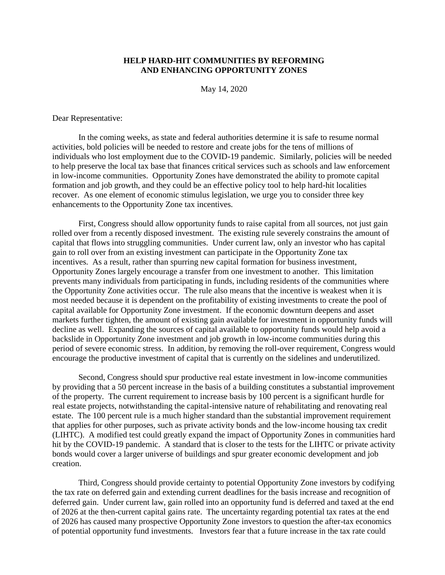## **HELP HARD-HIT COMMUNITIES BY REFORMING AND ENHANCING OPPORTUNITY ZONES**

May 14, 2020

Dear Representative:

In the coming weeks, as state and federal authorities determine it is safe to resume normal activities, bold policies will be needed to restore and create jobs for the tens of millions of individuals who lost employment due to the COVID-19 pandemic. Similarly, policies will be needed to help preserve the local tax base that finances critical services such as schools and law enforcement in low-income communities. Opportunity Zones have demonstrated the ability to promote capital formation and job growth, and they could be an effective policy tool to help hard-hit localities recover. As one element of economic stimulus legislation, we urge you to consider three key enhancements to the Opportunity Zone tax incentives.

First, Congress should allow opportunity funds to raise capital from all sources, not just gain rolled over from a recently disposed investment. The existing rule severely constrains the amount of capital that flows into struggling communities. Under current law, only an investor who has capital gain to roll over from an existing investment can participate in the Opportunity Zone tax incentives. As a result, rather than spurring new capital formation for business investment, Opportunity Zones largely encourage a transfer from one investment to another. This limitation prevents many individuals from participating in funds, including residents of the communities where the Opportunity Zone activities occur. The rule also means that the incentive is weakest when it is most needed because it is dependent on the profitability of existing investments to create the pool of capital available for Opportunity Zone investment. If the economic downturn deepens and asset markets further tighten, the amount of existing gain available for investment in opportunity funds will decline as well. Expanding the sources of capital available to opportunity funds would help avoid a backslide in Opportunity Zone investment and job growth in low-income communities during this period of severe economic stress. In addition, by removing the roll-over requirement, Congress would encourage the productive investment of capital that is currently on the sidelines and underutilized.

Second, Congress should spur productive real estate investment in low-income communities by providing that a 50 percent increase in the basis of a building constitutes a substantial improvement of the property. The current requirement to increase basis by 100 percent is a significant hurdle for real estate projects, notwithstanding the capital-intensive nature of rehabilitating and renovating real estate. The 100 percent rule is a much higher standard than the substantial improvement requirement that applies for other purposes, such as private activity bonds and the low-income housing tax credit (LIHTC). A modified test could greatly expand the impact of Opportunity Zones in communities hard hit by the COVID-19 pandemic. A standard that is closer to the tests for the LIHTC or private activity bonds would cover a larger universe of buildings and spur greater economic development and job creation.

Third, Congress should provide certainty to potential Opportunity Zone investors by codifying the tax rate on deferred gain and extending current deadlines for the basis increase and recognition of deferred gain. Under current law, gain rolled into an opportunity fund is deferred and taxed at the end of 2026 at the then-current capital gains rate. The uncertainty regarding potential tax rates at the end of 2026 has caused many prospective Opportunity Zone investors to question the after-tax economics of potential opportunity fund investments. Investors fear that a future increase in the tax rate could